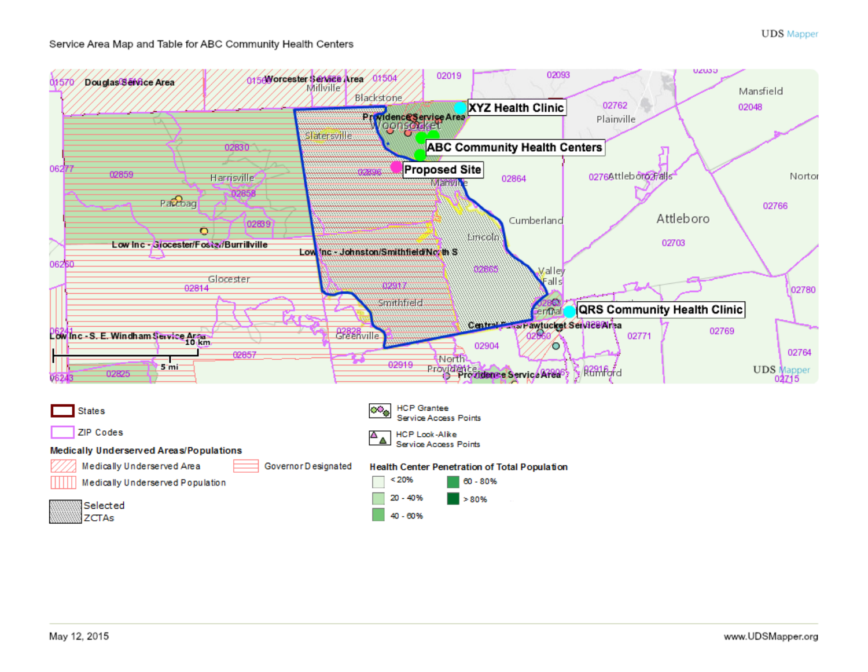## Service Area Map and Table for ABC Community Health Centers

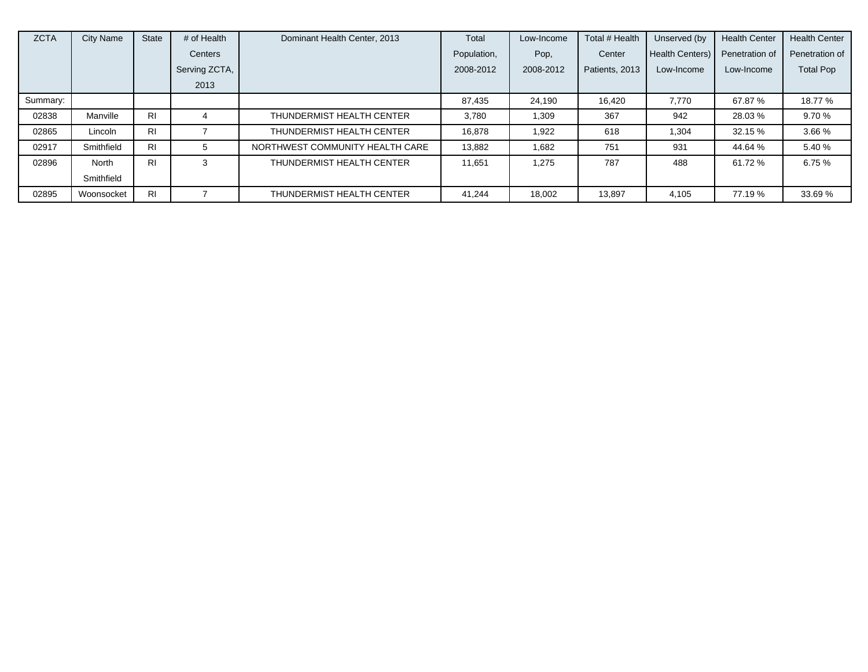| <b>ZCTA</b> | City Name  | <b>State</b>   | # of Health   | Dominant Health Center, 2013    | Total       | Low-Income | Total # Health | Unserved (by    | <b>Health Center</b> | <b>Health Center</b> |
|-------------|------------|----------------|---------------|---------------------------------|-------------|------------|----------------|-----------------|----------------------|----------------------|
|             |            |                | Centers       |                                 | Population, | Pop,       | Center         | Health Centers) | Penetration of       | Penetration of       |
|             |            |                | Serving ZCTA, |                                 | 2008-2012   | 2008-2012  | Patients, 2013 | Low-Income      | Low-Income           | <b>Total Pop</b>     |
|             |            |                | 2013          |                                 |             |            |                |                 |                      |                      |
| Summary:    |            |                |               |                                 | 87.435      | 24,190     | 16.420         | 7.770           | 67.87%               | 18.77 %              |
| 02838       | Manville   | R <sub>1</sub> |               | THUNDERMIST HEALTH CENTER       | 3,780       | 1,309      | 367            | 942             | 28.03%               | 9.70%                |
| 02865       | Lincoln    | <b>RI</b>      |               | THUNDERMIST HEALTH CENTER       | 16.878      | 1,922      | 618            | 1,304           | 32.15 %              | 3.66 %               |
| 02917       | Smithfield | R <sub>1</sub> | 5             | NORTHWEST COMMUNITY HEALTH CARE | 13,882      | 1,682      | 751            | 931             | 44.64 %              | 5.40 %               |
| 02896       | North      | R <sub>1</sub> | 3             | THUNDERMIST HEALTH CENTER       | 11.651      | 1.275      | 787            | 488             | 61.72 %              | 6.75%                |
|             | Smithfield |                |               |                                 |             |            |                |                 |                      |                      |
| 02895       | Woonsocket | R <sub>1</sub> |               | THUNDERMIST HEALTH CENTER       | 41,244      | 18,002     | 13,897         | 4,105           | 77.19 %              | 33.69%               |